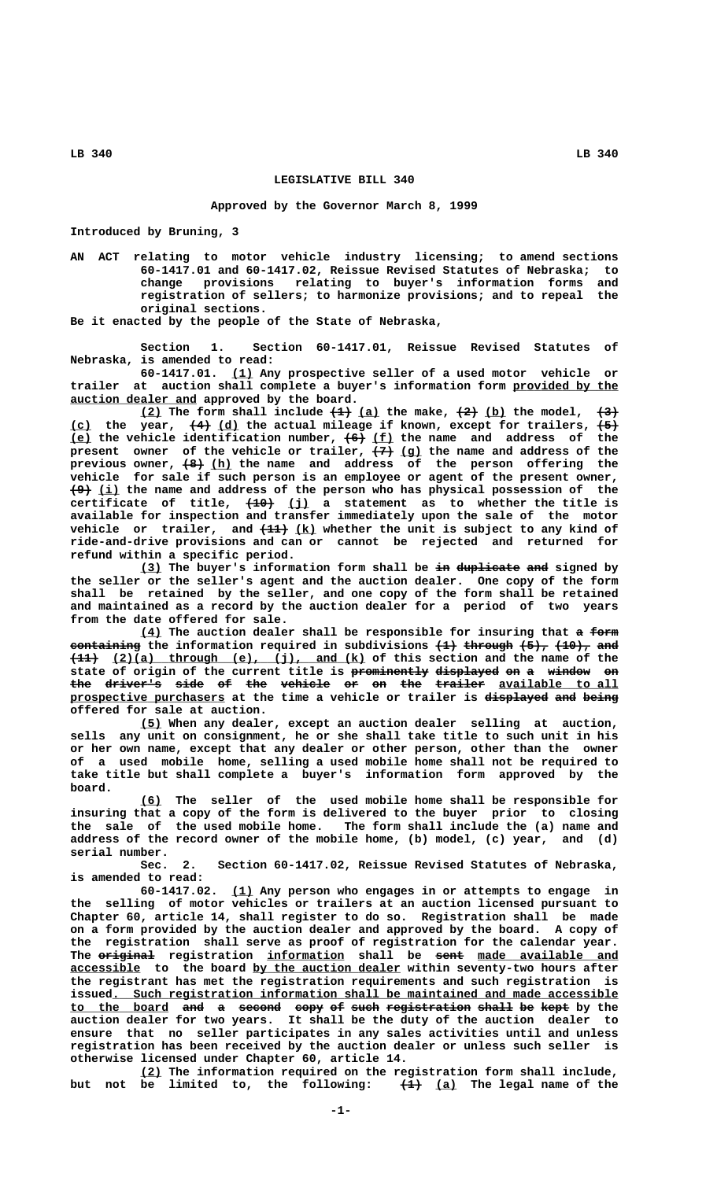## **LEGISLATIVE BILL 340**

## **Approved by the Governor March 8, 1999**

**Introduced by Bruning, 3**

**AN ACT relating to motor vehicle industry licensing; to amend sections 60-1417.01 and 60-1417.02, Reissue Revised Statutes of Nebraska; to** change provisions relating to buyer's information forms **registration of sellers; to harmonize provisions; and to repeal the original sections.**

**Be it enacted by the people of the State of Nebraska,**

**Section 1. Section 60-1417.01, Reissue Revised Statutes of Nebraska, is amended to read:**

 **\_\_\_ 60-1417.01. (1) Any prospective seller of a used motor vehicle or** trailer at auction shall complete a buyer's information form provided by the  **\_\_\_\_\_\_\_\_\_\_\_\_\_\_\_\_\_\_ auction dealer and approved by the board.**

 $(2)$  The form shall include  $(1)$   $(a)$  the make,  $(2)$   $(b)$  the model,  $(3)$  **\_\_\_ ——— \_\_\_ ——— (c) the year, (4) (d) the actual mileage if known, except for trailers, (5) \_\_\_ ——— \_\_\_ (e) the vehicle identification number, (6) (f) the name and address of the ——— \_\_\_ present owner of the vehicle or trailer, (7) (g) the name and address of the ——— \_\_\_ previous owner, (8) (h) the name and address of the person offering the vehicle for sale if such person is an employee or agent of the present owner, ——— \_\_\_ (9) (i) the name and address of the person who has physical possession of the ———— \_\_\_ certificate of title, (10) (j) a statement as to whether the title is available for inspection and transfer immediately upon the sale of the motor** vehicle or trailer, and  $\frac{11}{12}$  (k) whether the unit is subject to any kind of **ride-and-drive provisions and can or cannot be rejected and returned for refund within a specific period.**

> **(3) The buyer's information form shall be in duplicate and signed by \_\_\_ —— ————————— —— the seller or the seller's agent and the auction dealer. One copy of the form shall be retained by the seller, and one copy of the form shall be retained and maintained as a record by the auction dealer for a period of two years from the date offered for sale.**

> **<u>(4)</u>** The auction dealer shall be responsible for insuring that a form **containing the information required in subdivisions (1) through (5), (10), and ———— \_\_\_\_\_\_\_\_\_\_\_\_\_\_\_\_\_\_\_\_\_\_\_\_\_\_\_\_\_\_\_\_\_\_\_\_ (11) (2)(a) through (e), (j), and (k) of this section and the name of the** state of origin of the current title is prominently displayed on a window on the driver's side of the vehicle or on the trailer available to all **prospective purchasers at the time a vehicle or trailer is displayed and being \_\_\_\_\_\_\_\_\_\_\_\_\_\_\_\_\_\_\_\_\_\_ ————————— ——— ———— offered for sale at auction.**

> **\_\_\_ (5) When any dealer, except an auction dealer selling at auction, sells any unit on consignment, he or she shall take title to such unit in his or her own name, except that any dealer or other person, other than the owner of a used mobile home, selling a used mobile home shall not be required to take title but shall complete a buyer's information form approved by the board.**

> **\_\_\_ (6) The seller of the used mobile home shall be responsible for insuring that a copy of the form is delivered to the buyer prior to closing the sale of the used mobile home. The form shall include the (a) name and address of the record owner of the mobile home, (b) model, (c) year, and (d) serial number.**

> **Sec. 2. Section 60-1417.02, Reissue Revised Statutes of Nebraska, is amended to read:**

> **\_\_\_ 60-1417.02. (1) Any person who engages in or attempts to engage in the selling of motor vehicles or trailers at an auction licensed pursuant to Chapter 60, article 14, shall register to do so. Registration shall be made on a form provided by the auction dealer and approved by the board. A copy of the registration shall serve as proof of registration for the calendar year.** The original registration information shall be sent made available and  **\_\_\_\_\_\_\_\_\_\_ \_\_\_\_\_\_\_\_\_\_\_\_\_\_\_\_\_\_\_\_\_ accessible to the board by the auction dealer within seventy-two hours after the registrant has met the registration requirements and such registration is \_\_\_\_\_\_\_\_\_\_\_\_\_\_\_\_\_\_\_\_\_\_\_\_\_\_\_\_\_\_\_\_\_\_\_\_\_\_\_\_\_\_\_\_\_\_\_\_\_\_\_\_\_\_\_\_\_\_\_\_\_\_\_\_\_\_\_\_\_\_\_\_ issued. Such registration information shall be maintained and made accessible to the board and a second copy of such registration shall be kept by the \_\_\_\_\_\_\_\_\_\_\_\_\_\_ ——— — —————— ———— —— ———— ———————————— ————— —— ——— auction dealer for two years. It shall be the duty of the auction dealer to ensure that no seller participates in any sales activities until and unless registration has been received by the auction dealer or unless such seller is otherwise licensed under Chapter 60, article 14.**

> **\_\_\_ (2) The information required on the registration form shall include,** but not be limited to, the following:  $\left(\frac{1}{1}\right)$  (a) The legal name of the